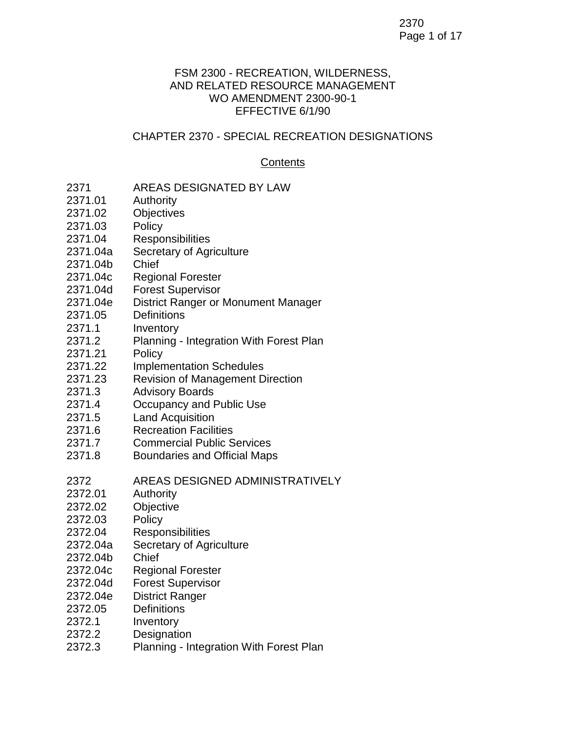## 2370 Page 1 of 17

#### FSM 2300 - RECREATION, WILDERNESS, AND RELATED RESOURCE MANAGEMENT WO AMENDMENT 2300-90-1 EFFECTIVE 6/1/90

## CHAPTER 2370 - SPECIAL RECREATION DESIGNATIONS

#### **Contents**

- 2371 AREAS DESIGNATED BY LAW
- 2371.01 Authority
- 2371.02 Objectives
- 2371.03 Policy
- 2371.04 Responsibilities
- 2371.04a Secretary of Agriculture
- 2371.04b Chief
- 2371.04c Regional Forester
- 2371.04d Forest Supervisor
- 2371.04e District Ranger or Monument Manager
- 2371.05 Definitions
- 2371.1 Inventory
- 2371.2 Planning Integration With Forest Plan
- 2371.21 Policy
- 2371.22 Implementation Schedules
- 2371.23 Revision of Management Direction
- 2371.3 Advisory Boards
- 2371.4 Occupancy and Public Use
- 2371.5 Land Acquisition
- 2371.6 Recreation Facilities
- 2371.7 Commercial Public Services
- 2371.8 Boundaries and Official Maps
- 2372 AREAS DESIGNED ADMINISTRATIVELY
- 2372.01 Authority
- 2372.02 Objective
- 2372.03 Policy
- 2372.04 Responsibilities
- 2372.04a Secretary of Agriculture
- 2372.04b Chief
- 2372.04c Regional Forester
- 2372.04d Forest Supervisor
- 2372.04e District Ranger
- 2372.05 Definitions
- 2372.1 Inventory
- 2372.2 Designation
- 2372.3 Planning Integration With Forest Plan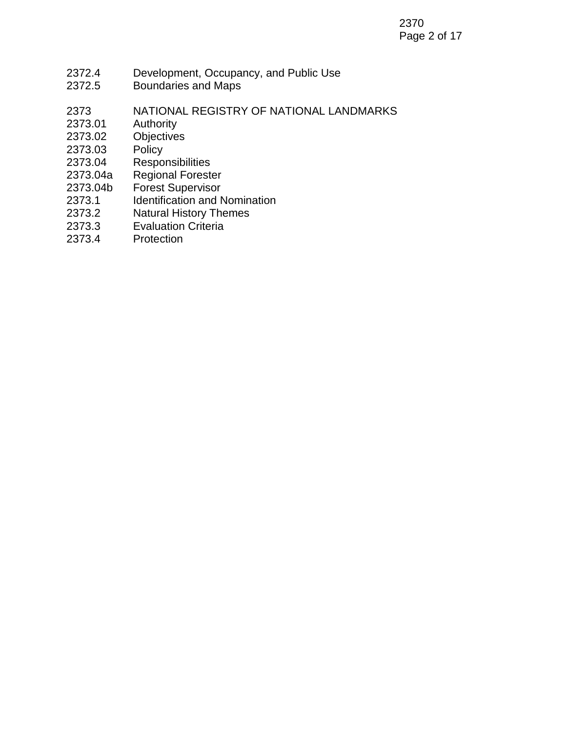- 2372.4 Development, Occupancy, and Public Use
- 2372.5 Boundaries and Maps
- 2373 NATIONAL REGISTRY OF NATIONAL LANDMARKS
- 2373.01 Authority
- 2373.02 Objectives<br>2373.03 Policy
- 2373.03
- 2373.04 Responsibilities
- 2373.04a Regional Forester
- 2373.04b Forest Supervisor
- 2373.1 Identification and Nomination
- 2373.2 Natural History Themes
- 2373.3 Evaluation Criteria
- 2373.4 Protection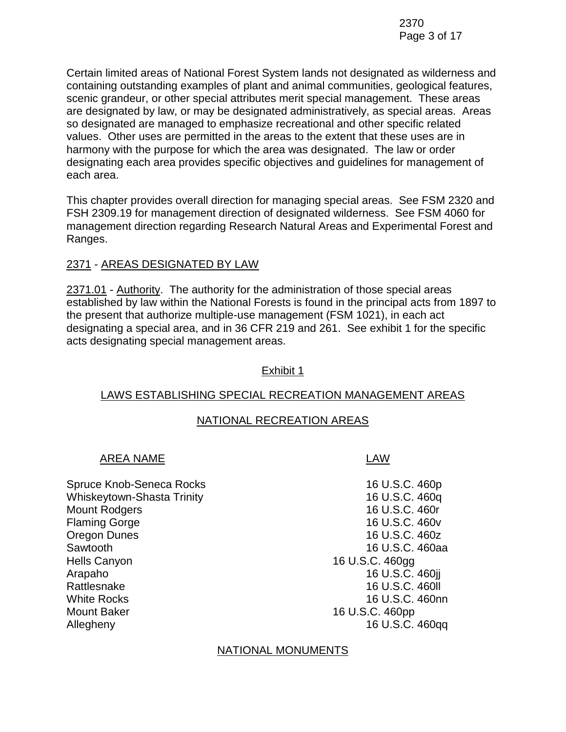Certain limited areas of National Forest System lands not designated as wilderness and containing outstanding examples of plant and animal communities, geological features, scenic grandeur, or other special attributes merit special management. These areas are designated by law, or may be designated administratively, as special areas. Areas so designated are managed to emphasize recreational and other specific related values. Other uses are permitted in the areas to the extent that these uses are in harmony with the purpose for which the area was designated. The law or order designating each area provides specific objectives and guidelines for management of each area.

This chapter provides overall direction for managing special areas. See FSM 2320 and FSH 2309.19 for management direction of designated wilderness. See FSM 4060 for management direction regarding Research Natural Areas and Experimental Forest and Ranges.

# 2371 - AREAS DESIGNATED BY LAW

2371.01 - Authority. The authority for the administration of those special areas established by law within the National Forests is found in the principal acts from 1897 to the present that authorize multiple-use management (FSM 1021), in each act designating a special area, and in 36 CFR 219 and 261. See exhibit 1 for the specific acts designating special management areas.

# Exhibit 1

# LAWS ESTABLISHING SPECIAL RECREATION MANAGEMENT AREAS

# NATIONAL RECREATION AREAS

# AREA NAME LAW

Spruce Knob-Seneca Rocks 16 U.S.C. 460p Whiskeytown-Shasta Trinity 16 U.S.C. 460q Mount Rodgers 16 U.S.C. 460r Flaming Gorge 16 U.S.C. 460v Oregon Dunes 16 U.S.C. 460z Sawtooth 16 U.S.C. 460aa Hells Canyon **16 U.S.C. 460gg** Arapaho 16 U.S.C. 460jj Rattlesnake 16 U.S.C. 460ll White Rocks **16 U.S.C. 460nn** Mount Baker 16 U.S.C. 460pp Allegheny 16 U.S.C. 460qq

# NATIONAL MONUMENTS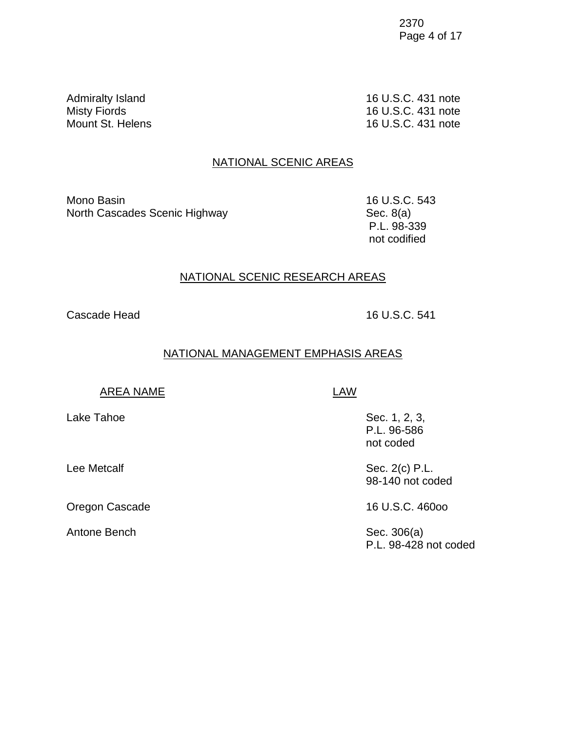2370 Page 4 of 17

Admiralty Island 16 U.S.C. 431 note Misty Fiords 16 U.S.C. 431 note Mount St. Helens 16 U.S.C. 431 note

#### NATIONAL SCENIC AREAS

Mono Basin 16 U.S.C. 543 North Cascades Scenic Highway Sec. 8(a)

P.L. 98-339 not codified

#### NATIONAL SCENIC RESEARCH AREAS

Cascade Head 16 U.S.C. 541

#### NATIONAL MANAGEMENT EMPHASIS AREAS

AREA NAME LAW

Oregon Cascade 16 U.S.C. 460oo

Antone Bench Sec. 306(a)

Lake Tahoe Sec. 1, 2, 3, P.L. 96-586 not coded

Lee Metcalf Sec. 2(c) P.L. 98-140 not coded

P.L. 98-428 not coded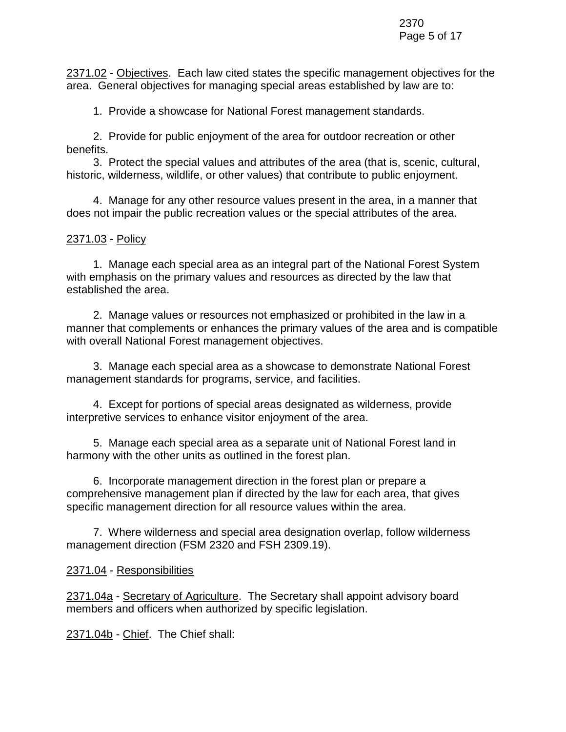2371.02 - Objectives. Each law cited states the specific management objectives for the area. General objectives for managing special areas established by law are to:

1. Provide a showcase for National Forest management standards.

2. Provide for public enjoyment of the area for outdoor recreation or other benefits.

3. Protect the special values and attributes of the area (that is, scenic, cultural, historic, wilderness, wildlife, or other values) that contribute to public enjoyment.

4. Manage for any other resource values present in the area, in a manner that does not impair the public recreation values or the special attributes of the area.

### 2371.03 - Policy

1. Manage each special area as an integral part of the National Forest System with emphasis on the primary values and resources as directed by the law that established the area.

2. Manage values or resources not emphasized or prohibited in the law in a manner that complements or enhances the primary values of the area and is compatible with overall National Forest management objectives.

3. Manage each special area as a showcase to demonstrate National Forest management standards for programs, service, and facilities.

4. Except for portions of special areas designated as wilderness, provide interpretive services to enhance visitor enjoyment of the area.

5. Manage each special area as a separate unit of National Forest land in harmony with the other units as outlined in the forest plan.

6. Incorporate management direction in the forest plan or prepare a comprehensive management plan if directed by the law for each area, that gives specific management direction for all resource values within the area.

7. Where wilderness and special area designation overlap, follow wilderness management direction (FSM 2320 and FSH 2309.19).

# 2371.04 - Responsibilities

2371.04a - Secretary of Agriculture. The Secretary shall appoint advisory board members and officers when authorized by specific legislation.

2371.04b - Chief. The Chief shall: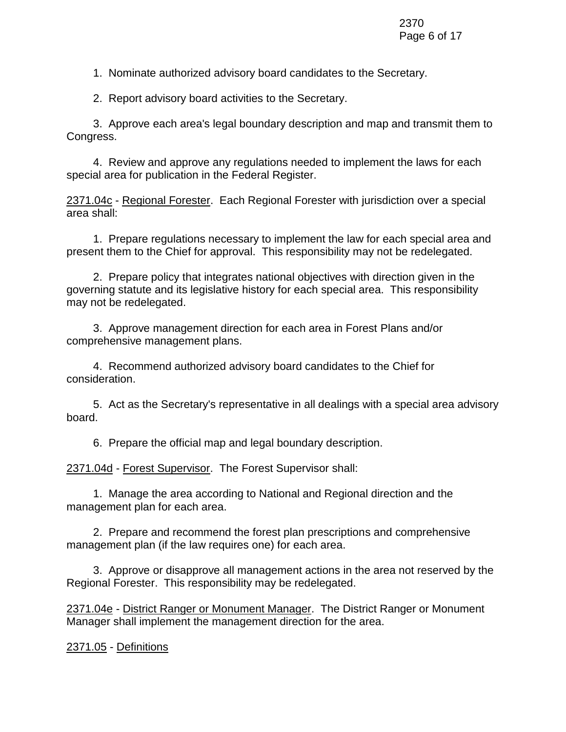1. Nominate authorized advisory board candidates to the Secretary.

2. Report advisory board activities to the Secretary.

3. Approve each area's legal boundary description and map and transmit them to Congress.

4. Review and approve any regulations needed to implement the laws for each special area for publication in the Federal Register.

2371.04c - Regional Forester. Each Regional Forester with jurisdiction over a special area shall:

1. Prepare regulations necessary to implement the law for each special area and present them to the Chief for approval. This responsibility may not be redelegated.

2. Prepare policy that integrates national objectives with direction given in the governing statute and its legislative history for each special area. This responsibility may not be redelegated.

3. Approve management direction for each area in Forest Plans and/or comprehensive management plans.

4. Recommend authorized advisory board candidates to the Chief for consideration.

5. Act as the Secretary's representative in all dealings with a special area advisory board.

6. Prepare the official map and legal boundary description.

2371.04d - Forest Supervisor. The Forest Supervisor shall:

1. Manage the area according to National and Regional direction and the management plan for each area.

2. Prepare and recommend the forest plan prescriptions and comprehensive management plan (if the law requires one) for each area.

3. Approve or disapprove all management actions in the area not reserved by the Regional Forester. This responsibility may be redelegated.

2371.04e - District Ranger or Monument Manager. The District Ranger or Monument Manager shall implement the management direction for the area.

2371.05 - Definitions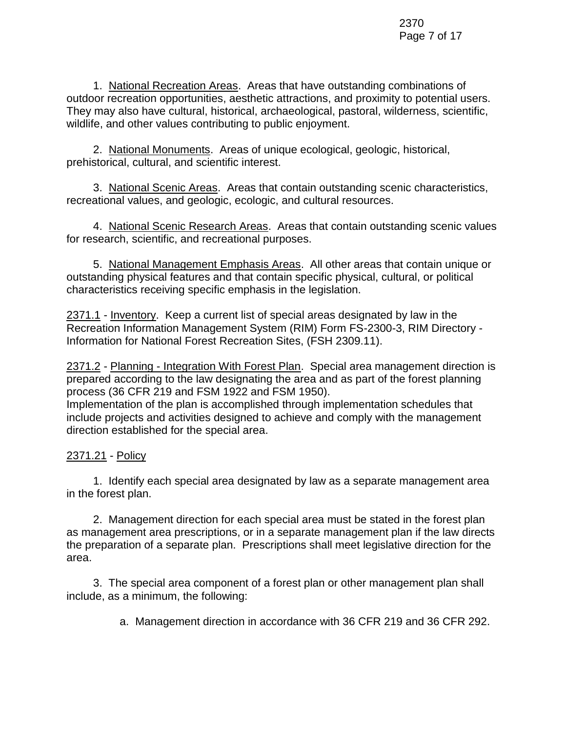1. National Recreation Areas. Areas that have outstanding combinations of outdoor recreation opportunities, aesthetic attractions, and proximity to potential users. They may also have cultural, historical, archaeological, pastoral, wilderness, scientific, wildlife, and other values contributing to public enjoyment.

2. National Monuments. Areas of unique ecological, geologic, historical, prehistorical, cultural, and scientific interest.

3. National Scenic Areas. Areas that contain outstanding scenic characteristics, recreational values, and geologic, ecologic, and cultural resources.

4. National Scenic Research Areas. Areas that contain outstanding scenic values for research, scientific, and recreational purposes.

5. National Management Emphasis Areas. All other areas that contain unique or outstanding physical features and that contain specific physical, cultural, or political characteristics receiving specific emphasis in the legislation.

2371.1 - Inventory. Keep a current list of special areas designated by law in the Recreation Information Management System (RIM) Form FS-2300-3, RIM Directory - Information for National Forest Recreation Sites, (FSH 2309.11).

2371.2 - Planning - Integration With Forest Plan. Special area management direction is prepared according to the law designating the area and as part of the forest planning process (36 CFR 219 and FSM 1922 and FSM 1950).

Implementation of the plan is accomplished through implementation schedules that include projects and activities designed to achieve and comply with the management direction established for the special area.

# 2371.21 - Policy

1. Identify each special area designated by law as a separate management area in the forest plan.

2. Management direction for each special area must be stated in the forest plan as management area prescriptions, or in a separate management plan if the law directs the preparation of a separate plan. Prescriptions shall meet legislative direction for the area.

3. The special area component of a forest plan or other management plan shall include, as a minimum, the following:

a. Management direction in accordance with 36 CFR 219 and 36 CFR 292.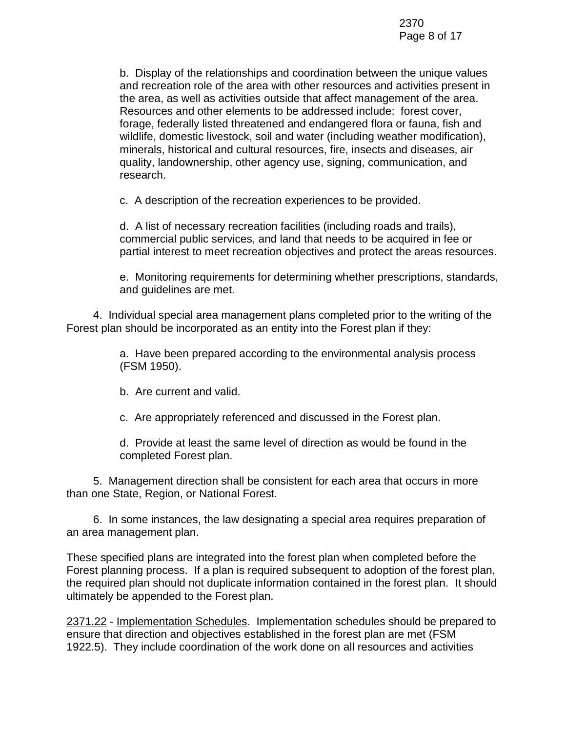b. Display of the relationships and coordination between the unique values and recreation role of the area with other resources and activities present in the area, as well as activities outside that affect management of the area. Resources and other elements to be addressed include: forest cover, forage, federally listed threatened and endangered flora or fauna, fish and wildlife, domestic livestock, soil and water (including weather modification), minerals, historical and cultural resources, fire, insects and diseases, air quality, landownership, other agency use, signing, communication, and research.

c. A description of the recreation experiences to be provided.

d. A list of necessary recreation facilities (including roads and trails), commercial public services, and land that needs to be acquired in fee or partial interest to meet recreation objectives and protect the areas resources.

e. Monitoring requirements for determining whether prescriptions, standards, and guidelines are met.

4. Individual special area management plans completed prior to the writing of the Forest plan should be incorporated as an entity into the Forest plan if they:

> a. Have been prepared according to the environmental analysis process (FSM 1950).

b. Are current and valid.

c. Are appropriately referenced and discussed in the Forest plan.

d. Provide at least the same level of direction as would be found in the completed Forest plan.

5. Management direction shall be consistent for each area that occurs in more than one State, Region, or National Forest.

6. In some instances, the law designating a special area requires preparation of an area management plan.

These specified plans are integrated into the forest plan when completed before the Forest planning process. If a plan is required subsequent to adoption of the forest plan, the required plan should not duplicate information contained in the forest plan. It should ultimately be appended to the Forest plan.

2371.22 - Implementation Schedules. Implementation schedules should be prepared to ensure that direction and objectives established in the forest plan are met (FSM 1922.5). They include coordination of the work done on all resources and activities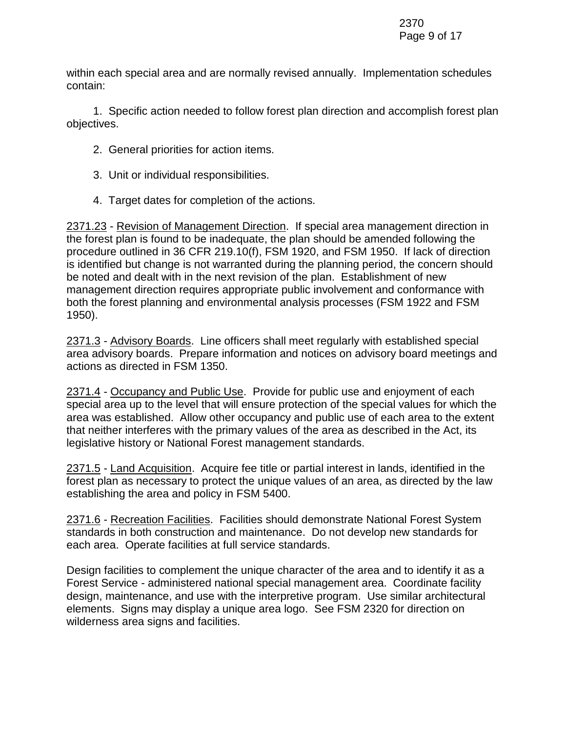within each special area and are normally revised annually. Implementation schedules contain:

1. Specific action needed to follow forest plan direction and accomplish forest plan objectives.

- 2. General priorities for action items.
- 3. Unit or individual responsibilities.
- 4. Target dates for completion of the actions.

2371.23 - Revision of Management Direction. If special area management direction in the forest plan is found to be inadequate, the plan should be amended following the procedure outlined in 36 CFR 219.10(f), FSM 1920, and FSM 1950. If lack of direction is identified but change is not warranted during the planning period, the concern should be noted and dealt with in the next revision of the plan. Establishment of new management direction requires appropriate public involvement and conformance with both the forest planning and environmental analysis processes (FSM 1922 and FSM 1950).

2371.3 - Advisory Boards. Line officers shall meet regularly with established special area advisory boards. Prepare information and notices on advisory board meetings and actions as directed in FSM 1350.

2371.4 - Occupancy and Public Use. Provide for public use and enjoyment of each special area up to the level that will ensure protection of the special values for which the area was established. Allow other occupancy and public use of each area to the extent that neither interferes with the primary values of the area as described in the Act, its legislative history or National Forest management standards.

2371.5 - Land Acquisition. Acquire fee title or partial interest in lands, identified in the forest plan as necessary to protect the unique values of an area, as directed by the law establishing the area and policy in FSM 5400.

2371.6 - Recreation Facilities. Facilities should demonstrate National Forest System standards in both construction and maintenance. Do not develop new standards for each area. Operate facilities at full service standards.

Design facilities to complement the unique character of the area and to identify it as a Forest Service - administered national special management area. Coordinate facility design, maintenance, and use with the interpretive program. Use similar architectural elements. Signs may display a unique area logo. See FSM 2320 for direction on wilderness area signs and facilities.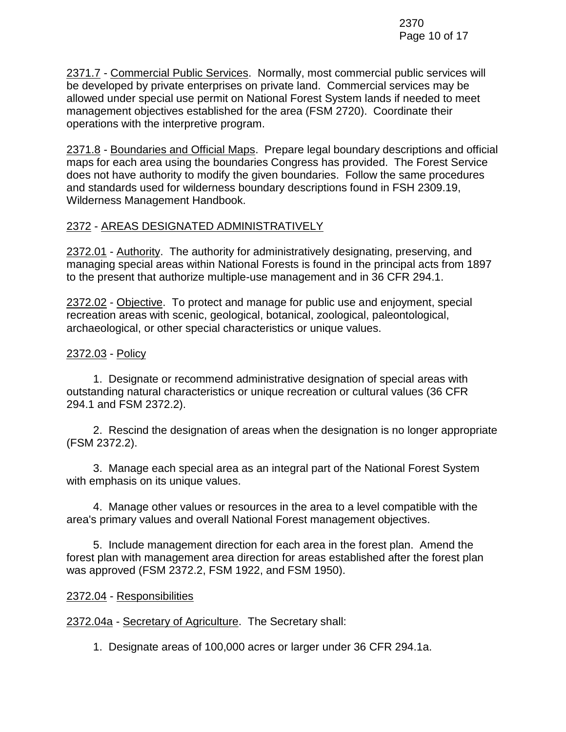2371.7 - Commercial Public Services. Normally, most commercial public services will be developed by private enterprises on private land. Commercial services may be allowed under special use permit on National Forest System lands if needed to meet management objectives established for the area (FSM 2720). Coordinate their operations with the interpretive program.

2371.8 - Boundaries and Official Maps. Prepare legal boundary descriptions and official maps for each area using the boundaries Congress has provided. The Forest Service does not have authority to modify the given boundaries. Follow the same procedures and standards used for wilderness boundary descriptions found in FSH 2309.19, Wilderness Management Handbook.

# 2372 - AREAS DESIGNATED ADMINISTRATIVELY

2372.01 - Authority. The authority for administratively designating, preserving, and managing special areas within National Forests is found in the principal acts from 1897 to the present that authorize multiple-use management and in 36 CFR 294.1.

2372.02 - Objective. To protect and manage for public use and enjoyment, special recreation areas with scenic, geological, botanical, zoological, paleontological, archaeological, or other special characteristics or unique values.

# 2372.03 - Policy

1. Designate or recommend administrative designation of special areas with outstanding natural characteristics or unique recreation or cultural values (36 CFR 294.1 and FSM 2372.2).

2. Rescind the designation of areas when the designation is no longer appropriate (FSM 2372.2).

3. Manage each special area as an integral part of the National Forest System with emphasis on its unique values.

4. Manage other values or resources in the area to a level compatible with the area's primary values and overall National Forest management objectives.

5. Include management direction for each area in the forest plan. Amend the forest plan with management area direction for areas established after the forest plan was approved (FSM 2372.2, FSM 1922, and FSM 1950).

# 2372.04 - Responsibilities

2372.04a - Secretary of Agriculture. The Secretary shall:

1. Designate areas of 100,000 acres or larger under 36 CFR 294.1a.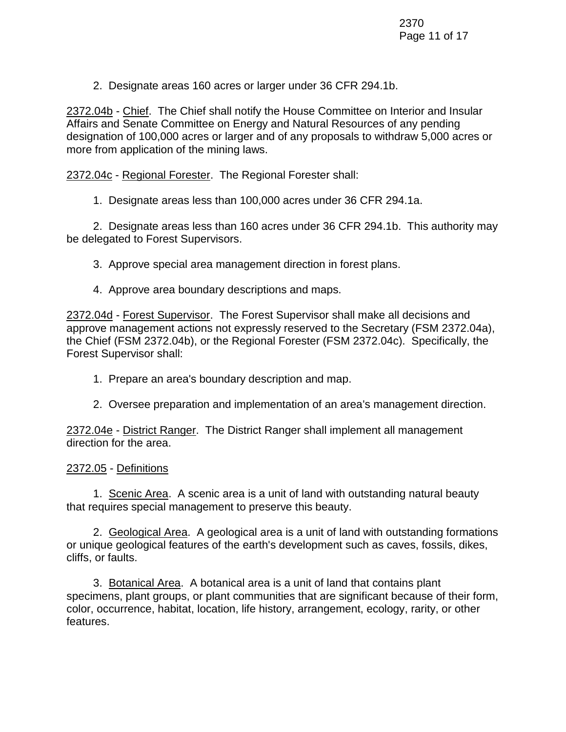2. Designate areas 160 acres or larger under 36 CFR 294.1b.

2372.04b - Chief. The Chief shall notify the House Committee on Interior and Insular Affairs and Senate Committee on Energy and Natural Resources of any pending designation of 100,000 acres or larger and of any proposals to withdraw 5,000 acres or more from application of the mining laws.

2372.04c - Regional Forester. The Regional Forester shall:

1. Designate areas less than 100,000 acres under 36 CFR 294.1a.

2. Designate areas less than 160 acres under 36 CFR 294.1b. This authority may be delegated to Forest Supervisors.

- 3. Approve special area management direction in forest plans.
- 4. Approve area boundary descriptions and maps.

2372.04d - Forest Supervisor. The Forest Supervisor shall make all decisions and approve management actions not expressly reserved to the Secretary (FSM 2372.04a), the Chief (FSM 2372.04b), or the Regional Forester (FSM 2372.04c). Specifically, the Forest Supervisor shall:

- 1. Prepare an area's boundary description and map.
- 2. Oversee preparation and implementation of an area's management direction.

2372.04e - District Ranger. The District Ranger shall implement all management direction for the area.

# 2372.05 - Definitions

1. Scenic Area. A scenic area is a unit of land with outstanding natural beauty that requires special management to preserve this beauty.

2. Geological Area. A geological area is a unit of land with outstanding formations or unique geological features of the earth's development such as caves, fossils, dikes, cliffs, or faults.

3. Botanical Area. A botanical area is a unit of land that contains plant specimens, plant groups, or plant communities that are significant because of their form, color, occurrence, habitat, location, life history, arrangement, ecology, rarity, or other features.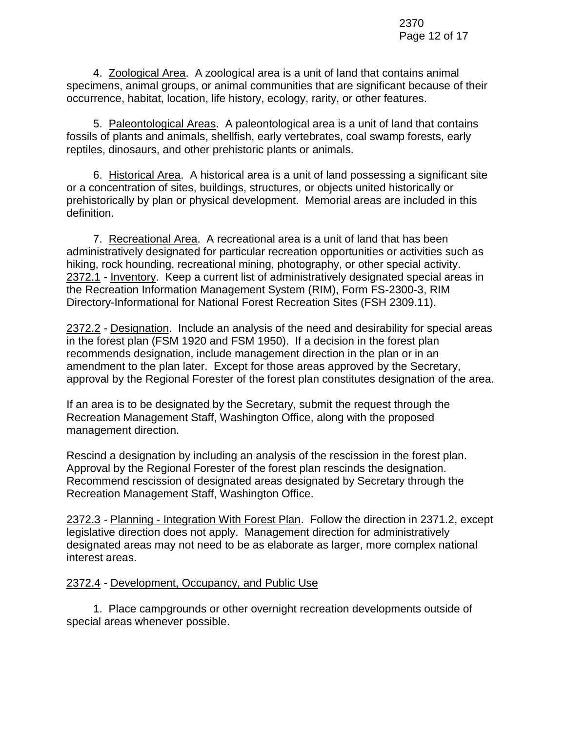4. Zoological Area. A zoological area is a unit of land that contains animal specimens, animal groups, or animal communities that are significant because of their occurrence, habitat, location, life history, ecology, rarity, or other features.

5. Paleontological Areas. A paleontological area is a unit of land that contains fossils of plants and animals, shellfish, early vertebrates, coal swamp forests, early reptiles, dinosaurs, and other prehistoric plants or animals.

6. Historical Area. A historical area is a unit of land possessing a significant site or a concentration of sites, buildings, structures, or objects united historically or prehistorically by plan or physical development. Memorial areas are included in this definition.

7. Recreational Area. A recreational area is a unit of land that has been administratively designated for particular recreation opportunities or activities such as hiking, rock hounding, recreational mining, photography, or other special activity. 2372.1 - Inventory. Keep a current list of administratively designated special areas in the Recreation Information Management System (RIM), Form FS-2300-3, RIM Directory-Informational for National Forest Recreation Sites (FSH 2309.11).

2372.2 - Designation. Include an analysis of the need and desirability for special areas in the forest plan (FSM 1920 and FSM 1950). If a decision in the forest plan recommends designation, include management direction in the plan or in an amendment to the plan later. Except for those areas approved by the Secretary, approval by the Regional Forester of the forest plan constitutes designation of the area.

If an area is to be designated by the Secretary, submit the request through the Recreation Management Staff, Washington Office, along with the proposed management direction.

Rescind a designation by including an analysis of the rescission in the forest plan. Approval by the Regional Forester of the forest plan rescinds the designation. Recommend rescission of designated areas designated by Secretary through the Recreation Management Staff, Washington Office.

2372.3 - Planning - Integration With Forest Plan. Follow the direction in 2371.2, except legislative direction does not apply. Management direction for administratively designated areas may not need to be as elaborate as larger, more complex national interest areas.

# 2372.4 - Development, Occupancy, and Public Use

1. Place campgrounds or other overnight recreation developments outside of special areas whenever possible.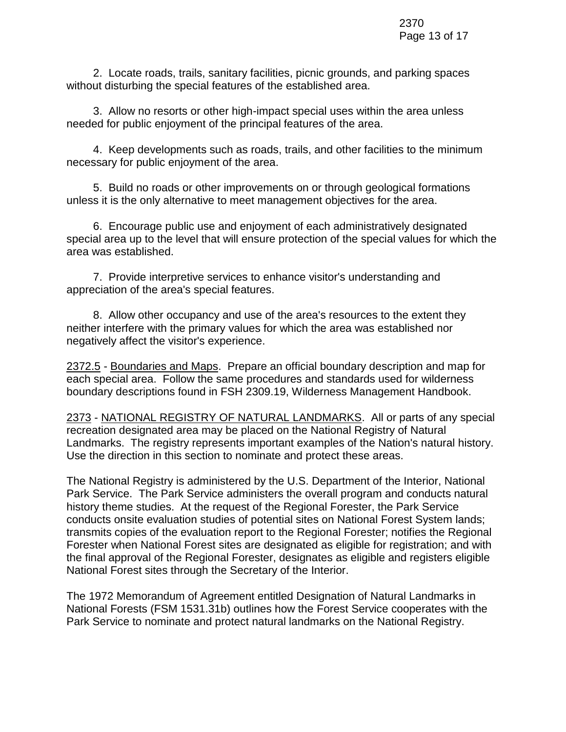2. Locate roads, trails, sanitary facilities, picnic grounds, and parking spaces without disturbing the special features of the established area.

3. Allow no resorts or other high-impact special uses within the area unless needed for public enjoyment of the principal features of the area.

4. Keep developments such as roads, trails, and other facilities to the minimum necessary for public enjoyment of the area.

5. Build no roads or other improvements on or through geological formations unless it is the only alternative to meet management objectives for the area.

6. Encourage public use and enjoyment of each administratively designated special area up to the level that will ensure protection of the special values for which the area was established.

7. Provide interpretive services to enhance visitor's understanding and appreciation of the area's special features.

8. Allow other occupancy and use of the area's resources to the extent they neither interfere with the primary values for which the area was established nor negatively affect the visitor's experience.

2372.5 - Boundaries and Maps. Prepare an official boundary description and map for each special area. Follow the same procedures and standards used for wilderness boundary descriptions found in FSH 2309.19, Wilderness Management Handbook.

2373 - NATIONAL REGISTRY OF NATURAL LANDMARKS. All or parts of any special recreation designated area may be placed on the National Registry of Natural Landmarks. The registry represents important examples of the Nation's natural history. Use the direction in this section to nominate and protect these areas.

The National Registry is administered by the U.S. Department of the Interior, National Park Service. The Park Service administers the overall program and conducts natural history theme studies. At the request of the Regional Forester, the Park Service conducts onsite evaluation studies of potential sites on National Forest System lands; transmits copies of the evaluation report to the Regional Forester; notifies the Regional Forester when National Forest sites are designated as eligible for registration; and with the final approval of the Regional Forester, designates as eligible and registers eligible National Forest sites through the Secretary of the Interior.

The 1972 Memorandum of Agreement entitled Designation of Natural Landmarks in National Forests (FSM 1531.31b) outlines how the Forest Service cooperates with the Park Service to nominate and protect natural landmarks on the National Registry.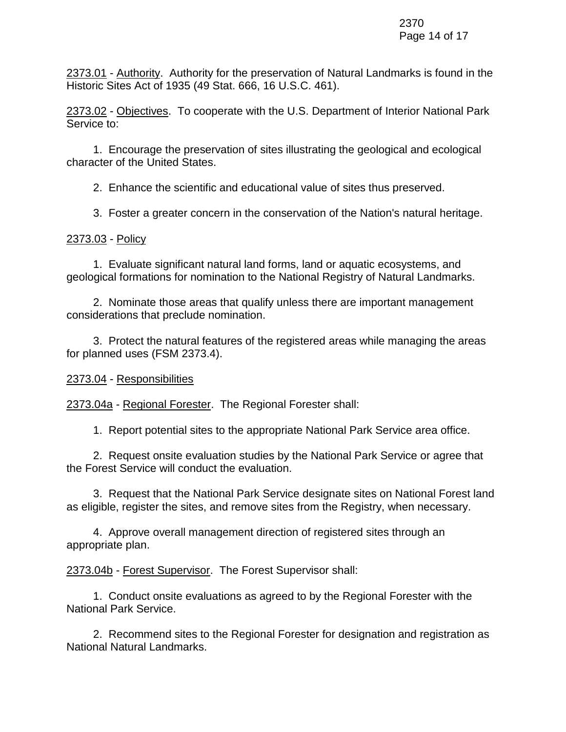2373.01 - Authority. Authority for the preservation of Natural Landmarks is found in the Historic Sites Act of 1935 (49 Stat. 666, 16 U.S.C. 461).

2373.02 - Objectives. To cooperate with the U.S. Department of Interior National Park Service to:

1. Encourage the preservation of sites illustrating the geological and ecological character of the United States.

2. Enhance the scientific and educational value of sites thus preserved.

3. Foster a greater concern in the conservation of the Nation's natural heritage.

# 2373.03 - Policy

1. Evaluate significant natural land forms, land or aquatic ecosystems, and geological formations for nomination to the National Registry of Natural Landmarks.

2. Nominate those areas that qualify unless there are important management considerations that preclude nomination.

3. Protect the natural features of the registered areas while managing the areas for planned uses (FSM 2373.4).

2373.04 - Responsibilities

2373.04a - Regional Forester. The Regional Forester shall:

1. Report potential sites to the appropriate National Park Service area office.

2. Request onsite evaluation studies by the National Park Service or agree that the Forest Service will conduct the evaluation.

3. Request that the National Park Service designate sites on National Forest land as eligible, register the sites, and remove sites from the Registry, when necessary.

4. Approve overall management direction of registered sites through an appropriate plan.

2373.04b - Forest Supervisor. The Forest Supervisor shall:

1. Conduct onsite evaluations as agreed to by the Regional Forester with the National Park Service.

2. Recommend sites to the Regional Forester for designation and registration as National Natural Landmarks.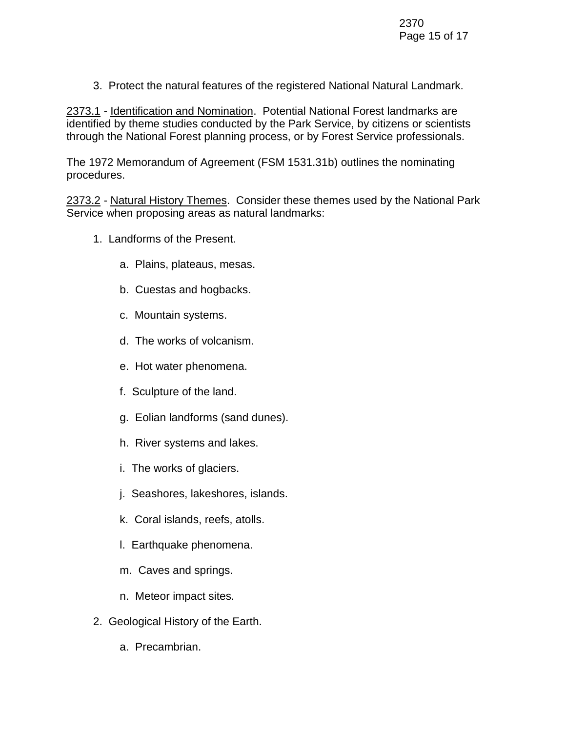3. Protect the natural features of the registered National Natural Landmark.

2373.1 - Identification and Nomination. Potential National Forest landmarks are identified by theme studies conducted by the Park Service, by citizens or scientists through the National Forest planning process, or by Forest Service professionals.

The 1972 Memorandum of Agreement (FSM 1531.31b) outlines the nominating procedures.

2373.2 - Natural History Themes. Consider these themes used by the National Park Service when proposing areas as natural landmarks:

- 1. Landforms of the Present.
	- a. Plains, plateaus, mesas.
	- b. Cuestas and hogbacks.
	- c. Mountain systems.
	- d. The works of volcanism.
	- e. Hot water phenomena.
	- f. Sculpture of the land.
	- g. Eolian landforms (sand dunes).
	- h. River systems and lakes.
	- i. The works of glaciers.
	- j. Seashores, lakeshores, islands.
	- k. Coral islands, reefs, atolls.
	- l. Earthquake phenomena.
	- m. Caves and springs.
	- n. Meteor impact sites.
- 2. Geological History of the Earth.
	- a. Precambrian.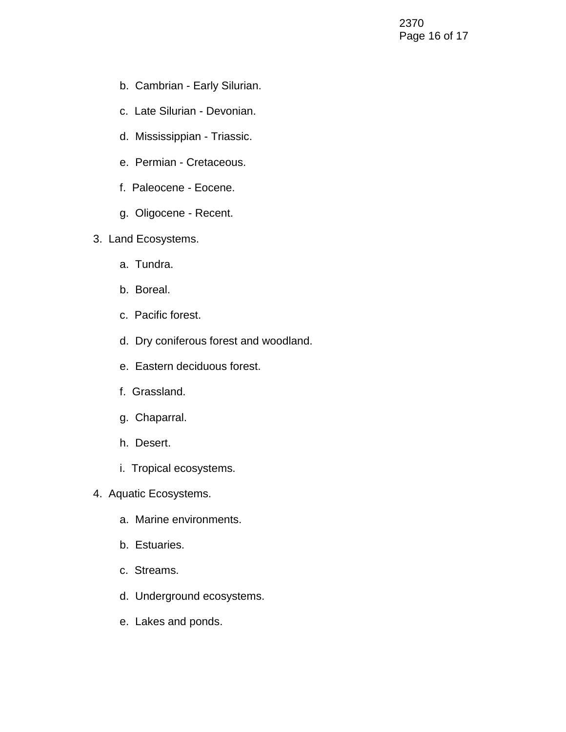- b. Cambrian Early Silurian.
- c. Late Silurian Devonian.
- d. Mississippian Triassic.
- e. Permian Cretaceous.
- f. Paleocene Eocene.
- g. Oligocene Recent.
- 3. Land Ecosystems.
	- a. Tundra.
	- b. Boreal.
	- c. Pacific forest.
	- d. Dry coniferous forest and woodland.
	- e. Eastern deciduous forest.
	- f. Grassland.
	- g. Chaparral.
	- h. Desert.
	- i. Tropical ecosystems.
- 4. Aquatic Ecosystems.
	- a. Marine environments.
	- b. Estuaries.
	- c. Streams.
	- d. Underground ecosystems.
	- e. Lakes and ponds.